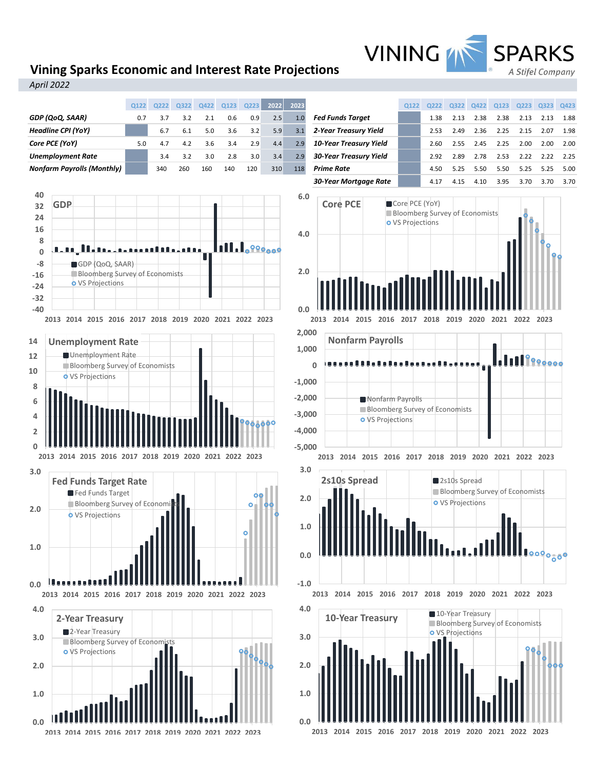# **Vining Sparks Economic and Interest Rate Projections**

*April 2022*



**2013 2014 2015 2016 2017 2018 2019 2020 2021 2022 2023**

VINING MN SPARKS

A Stifel Company

**2013 2014 2015 2016 2017 2018 2019 2020 2021 2022 2023**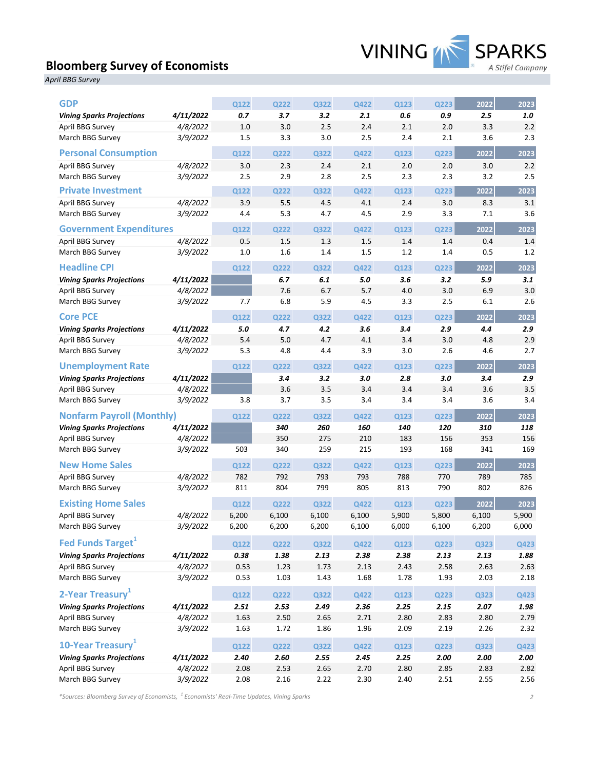# **Bloomberg Survey of Economists**



*April BBG Survey*

| <b>GDP</b>                       |           | Q122  | Q222        | Q322        | Q422  | Q123  | Q223  | 2022  | 2023  |
|----------------------------------|-----------|-------|-------------|-------------|-------|-------|-------|-------|-------|
| <b>Vining Sparks Projections</b> | 4/11/2022 | 0.7   | 3.7         | 3.2         | 2.1   | 0.6   | 0.9   | 2.5   | 1.0   |
| April BBG Survey                 | 4/8/2022  | 1.0   | 3.0         | 2.5         | 2.4   | 2.1   | 2.0   | 3.3   | 2.2   |
| March BBG Survey                 | 3/9/2022  | 1.5   | 3.3         | 3.0         | 2.5   | 2.4   | 2.1   | 3.6   | 2.3   |
| <b>Personal Consumption</b>      |           | Q122  | Q222        | Q322        | Q422  | Q123  | Q223  | 2022  | 2023  |
| April BBG Survey                 | 4/8/2022  | 3.0   | 2.3         | 2.4         | 2.1   | 2.0   | 2.0   | 3.0   | 2.2   |
| March BBG Survey                 | 3/9/2022  | 2.5   | 2.9         | 2.8         | 2.5   | 2.3   | 2.3   | 3.2   | 2.5   |
| <b>Private Investment</b>        |           | Q122  | Q222        | Q322        | Q422  | Q123  | Q223  | 2022  | 2023  |
| April BBG Survey                 | 4/8/2022  | 3.9   | 5.5         | 4.5         | 4.1   | 2.4   | 3.0   | 8.3   | 3.1   |
| March BBG Survey                 | 3/9/2022  | 4.4   | 5.3         | 4.7         | 4.5   | 2.9   | 3.3   | 7.1   | 3.6   |
| <b>Government Expenditures</b>   |           | Q122  | Q222        | Q322        | Q422  | Q123  | Q223  | 2022  | 2023  |
| April BBG Survey                 | 4/8/2022  | 0.5   | 1.5         | 1.3         | 1.5   | 1.4   | 1.4   | 0.4   | 1.4   |
| March BBG Survey                 | 3/9/2022  | 1.0   | 1.6         | 1.4         | 1.5   | 1.2   | 1.4   | 0.5   | 1.2   |
| <b>Headline CPI</b>              |           | Q122  | Q222        | Q322        | Q422  | Q123  | Q223  | 2022  | 2023  |
| <b>Vining Sparks Projections</b> | 4/11/2022 |       | 6.7         | 6.1         | 5.0   | 3.6   | 3.2   | 5.9   | 3.1   |
| April BBG Survey                 | 4/8/2022  |       | 7.6         | 6.7         | 5.7   | 4.0   | 3.0   | 6.9   | 3.0   |
| March BBG Survey                 | 3/9/2022  | 7.7   | 6.8         | 5.9         | 4.5   | 3.3   | 2.5   | 6.1   | 2.6   |
| <b>Core PCE</b>                  |           | Q122  | Q222        | Q322        | Q422  | Q123  | Q223  | 2022  | 2023  |
| <b>Vining Sparks Projections</b> | 4/11/2022 | $5.0$ | 4.7         | 4.2         | 3.6   | 3.4   | 2.9   | 4.4   | 2.9   |
| April BBG Survey                 | 4/8/2022  | 5.4   | 5.0         | 4.7         | 4.1   | 3.4   | 3.0   | 4.8   | 2.9   |
| March BBG Survey                 | 3/9/2022  | 5.3   | 4.8         | 4.4         | 3.9   | 3.0   | 2.6   | 4.6   | 2.7   |
| <b>Unemployment Rate</b>         |           | Q122  | Q222        | Q322        | Q422  | Q123  | Q223  | 2022  | 2023  |
| <b>Vining Sparks Projections</b> | 4/11/2022 |       | 3.4         | 3.2         | 3.0   | 2.8   | 3.0   | 3.4   | 2.9   |
| April BBG Survey                 | 4/8/2022  |       | 3.6         | 3.5         | 3.4   | 3.4   | 3.4   | 3.6   | 3.5   |
| March BBG Survey                 | 3/9/2022  | 3.8   | 3.7         | 3.5         | 3.4   | 3.4   | 3.4   | 3.6   | 3.4   |
| <b>Nonfarm Payroll (Monthly)</b> |           | Q122  | Q222        | Q322        | Q422  | Q123  | Q223  | 2022  | 2023  |
| <b>Vining Sparks Projections</b> | 4/11/2022 |       | 340         | 260         | 160   | 140   | 120   | 310   | 118   |
| April BBG Survey                 | 4/8/2022  |       | 350         | 275         | 210   | 183   | 156   | 353   | 156   |
| March BBG Survey                 | 3/9/2022  | 503   | 340         | 259         | 215   | 193   | 168   | 341   | 169   |
| <b>New Home Sales</b>            |           | Q122  | Q222        | Q322        | Q422  | Q123  | Q223  | 2022  | 2023  |
| April BBG Survey                 | 4/8/2022  | 782   | 792         | 793         | 793   | 788   | 770   | 789   | 785   |
| March BBG Survey                 | 3/9/2022  | 811   | 804         | 799         | 805   | 813   | 790   | 802   | 826   |
| <b>Existing Home Sales</b>       |           | Q122  | Q222        | Q322        | Q422  | Q123  | Q223  | 2022  | 2023  |
| April BBG Survey                 | 4/8/2022  | 6,200 | 6,100       | 6,100       | 6,100 | 5,900 | 5,800 | 6,100 | 5,900 |
| March BBG Survey                 | 3/9/2022  | 6,200 | 6,200       | 6,200       | 6,100 | 6,000 | 6,100 | 6,200 | 6,000 |
| Fed Funds Target <sup>1</sup>    |           | Q122  | <b>Q222</b> | Q322        | Q422  | Q123  | Q223  | Q323  | Q423  |
| <b>Vining Sparks Projections</b> | 4/11/2022 | 0.38  | 1.38        | 2.13        | 2.38  | 2.38  | 2.13  | 2.13  | 1.88  |
| April BBG Survey                 | 4/8/2022  | 0.53  | 1.23        | 1.73        | 2.13  | 2.43  | 2.58  | 2.63  | 2.63  |
| March BBG Survey                 | 3/9/2022  | 0.53  | 1.03        | 1.43        | 1.68  | 1.78  | 1.93  | 2.03  | 2.18  |
| 2-Year Treasury <sup>1</sup>     |           | Q122  | <b>Q222</b> | Q322        | Q422  | Q123  | Q223  | Q323  | Q423  |
| <b>Vining Sparks Projections</b> | 4/11/2022 | 2.51  | 2.53        | 2.49        | 2.36  | 2.25  | 2.15  | 2.07  | 1.98  |
| April BBG Survey                 | 4/8/2022  | 1.63  | 2.50        | 2.65        | 2.71  | 2.80  | 2.83  | 2.80  | 2.79  |
| March BBG Survey                 | 3/9/2022  | 1.63  | 1.72        | 1.86        | 1.96  | 2.09  | 2.19  | 2.26  | 2.32  |
| 10-Year Treasury <sup>1</sup>    |           | Q122  | <b>Q222</b> | <b>Q322</b> | Q422  | Q123  | Q223  | Q323  | Q423  |
| <b>Vining Sparks Projections</b> | 4/11/2022 | 2.40  | 2.60        | 2.55        | 2.45  | 2.25  | 2.00  | 2.00  | 2.00  |
| April BBG Survey                 | 4/8/2022  | 2.08  | 2.53        | 2.65        | 2.70  | 2.80  | 2.85  | 2.83  | 2.82  |
| March BBG Survey                 | 3/9/2022  | 2.08  | 2.16        | 2.22        | 2.30  | 2.40  | 2.51  | 2.55  | 2.56  |

*\*Sources: Bloomberg Survey of Economists, <sup>1</sup> Economists' Real-Time Updates, Vining Sparks 2*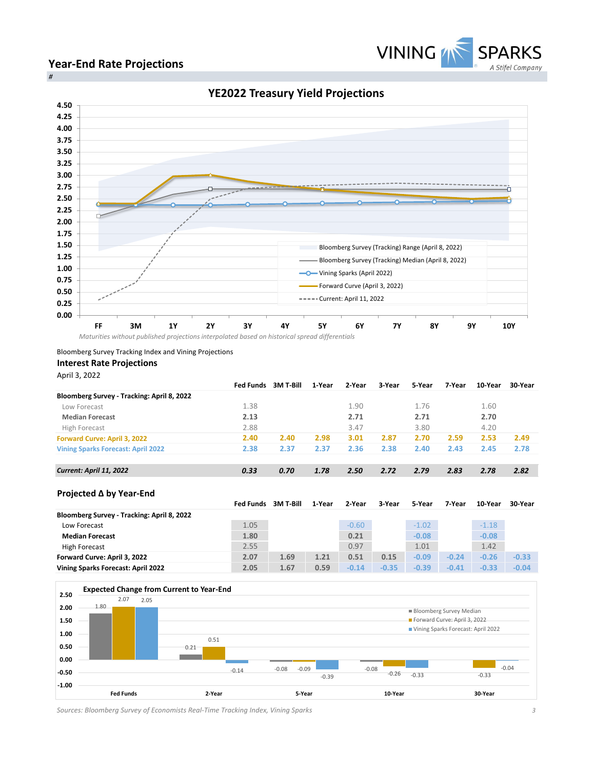

## **Year-End Rate Projections**



Bloomberg Survey Tracking Index and Vining Projections

## **Interest Rate Projections**

April 3, 2022

|                                            | <b>Fed Funds</b> | 3M T-Bill | 1-Year | 2-Year  | 3-Year  | 5-Year  | 7-Year  | 10-Year | 30-Year |
|--------------------------------------------|------------------|-----------|--------|---------|---------|---------|---------|---------|---------|
| Bloomberg Survey - Tracking: April 8, 2022 |                  |           |        |         |         |         |         |         |         |
| Low Forecast                               | 1.38             |           |        | 1.90    |         | 1.76    |         | 1.60    |         |
| <b>Median Forecast</b>                     | 2.13             |           |        | 2.71    |         | 2.71    |         | 2.70    |         |
| High Forecast                              | 2.88             |           |        | 3.47    |         | 3.80    |         | 4.20    |         |
| <b>Forward Curve: April 3, 2022</b>        | 2.40             | 2.40      | 2.98   | 3.01    | 2.87    | 2.70    | 2.59    | 2.53    | 2.49    |
| <b>Vining Sparks Forecast: April 2022</b>  | 2.38             | 2.37      | 2.37   | 2.36    | 2.38    | 2.40    | 2.43    | 2.45    | 2.78    |
| <b>Current: April 11, 2022</b>             | 0.33             | 0.70      | 1.78   | 2.50    | 2.72    | 2.79    | 2.83    | 2.78    | 2.82    |
| Projected ∆ by Year-End                    |                  |           |        |         |         |         |         |         |         |
|                                            | <b>Fed Funds</b> | 3M T-Bill | 1-Year | 2-Year  | 3-Year  | 5-Year  | 7-Year  | 10-Year | 30-Year |
| Bloomberg Survey - Tracking: April 8, 2022 |                  |           |        |         |         |         |         |         |         |
| Low Forecast                               | 1.05             |           |        | $-0.60$ |         | $-1.02$ |         | $-1.18$ |         |
| <b>Median Forecast</b>                     | 1.80             |           |        | 0.21    |         | $-0.08$ |         | $-0.08$ |         |
| <b>High Forecast</b>                       | 2.55             |           |        | 0.97    |         | 1.01    |         | 1.42    |         |
| Forward Curve: April 3, 2022               | 2.07             | 1.69      | 1.21   | 0.51    | 0.15    | $-0.09$ | $-0.24$ | $-0.26$ | $-0.33$ |
| <b>Vining Sparks Forecast: April 2022</b>  | 2.05             | 1.67      | 0.59   | $-0.14$ | $-0.35$ | $-0.39$ | $-0.41$ | $-0.33$ | $-0.04$ |



*Sources: Bloomberg Survey of Economists Real-Time Tracking Index, Vining Sparks 3*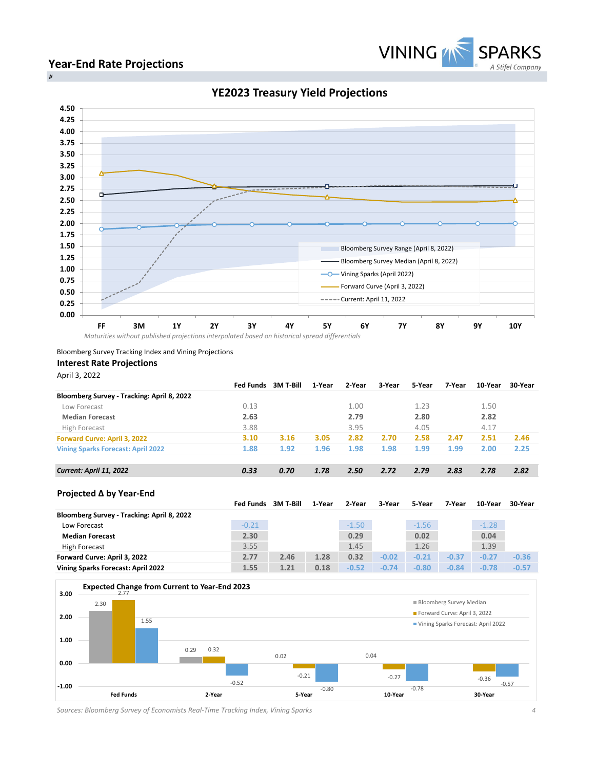

#### **Year-End Rate Projections** *#*



# **YE2023 Treasury Yield Projections**

Bloomberg Survey Tracking Index and Vining Projections

### **Interest Rate Projections**

April 3, 2022

|                                            | <b>Fed Funds</b> | 3M T-Bill | 1-Year | 2-Year  | 3-Year  | 5-Year  | 7-Year  | 10-Year | 30-Year |
|--------------------------------------------|------------------|-----------|--------|---------|---------|---------|---------|---------|---------|
| Bloomberg Survey - Tracking: April 8, 2022 |                  |           |        |         |         |         |         |         |         |
| Low Forecast                               | 0.13             |           |        | 1.00    |         | 1.23    |         | 1.50    |         |
| <b>Median Forecast</b>                     | 2.63             |           |        | 2.79    |         | 2.80    |         | 2.82    |         |
| High Forecast                              | 3.88             |           |        | 3.95    |         | 4.05    |         | 4.17    |         |
| <b>Forward Curve: April 3, 2022</b>        | 3.10             | 3.16      | 3.05   | 2.82    | 2.70    | 2.58    | 2.47    | 2.51    | 2.46    |
| <b>Vining Sparks Forecast: April 2022</b>  | 1.88             | 1.92      | 1.96   | 1.98    | 1.98    | 1.99    | 1.99    | 2.00    | 2.25    |
| <b>Current: April 11, 2022</b>             | 0.33             | 0.70      | 1.78   | 2.50    | 2.72    | 2.79    | 2.83    | 2.78    | 2.82    |
| Projected ∆ by Year-End                    |                  |           |        |         |         |         |         |         |         |
|                                            | <b>Fed Funds</b> | 3M T-Bill | 1-Year | 2-Year  | 3-Year  | 5-Year  | 7-Year  | 10-Year | 30-Year |
| Bloomberg Survey - Tracking: April 8, 2022 |                  |           |        |         |         |         |         |         |         |
| Low Forecast                               | $-0.21$          |           |        | $-1.50$ |         | $-1.56$ |         | $-1.28$ |         |
| <b>Median Forecast</b>                     | 2.30             |           |        | 0.29    |         | 0.02    |         | 0.04    |         |
| High Forecast                              | 3.55             |           |        | 1.45    |         | 1.26    |         | 1.39    |         |
| Forward Curve: April 3, 2022               | 2.77             | 2.46      | 1.28   | 0.32    | $-0.02$ | $-0.21$ | $-0.37$ | $-0.27$ | $-0.36$ |
|                                            |                  |           |        |         |         |         |         |         |         |



*Sources: Bloomberg Survey of Economists Real-Time Tracking Index, Vining Sparks 4*